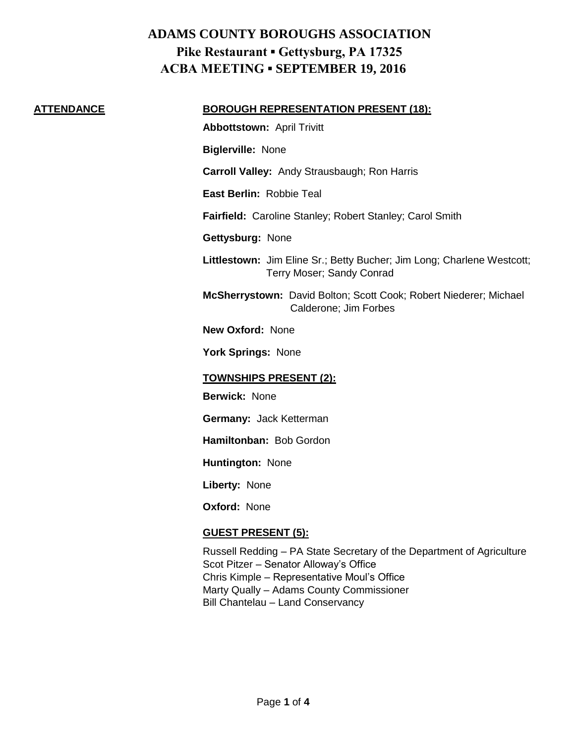## **ADAMS COUNTY BOROUGHS ASSOCIATION Pike Restaurant ▪ Gettysburg, PA 17325 ACBA MEETING ▪ SEPTEMBER 19, 2016**

### **ATTENDANCE BOROUGH REPRESENTATION PRESENT (18):**

**Abbottstown:** April Trivitt

**Biglerville:** None

**Carroll Valley:** Andy Strausbaugh; Ron Harris

**East Berlin:** Robbie Teal

**Fairfield:** Caroline Stanley; Robert Stanley; Carol Smith

**Gettysburg:** None

**Littlestown:** Jim Eline Sr.; Betty Bucher; Jim Long; Charlene Westcott; Terry Moser; Sandy Conrad

**McSherrystown:** David Bolton; Scott Cook; Robert Niederer; Michael Calderone; Jim Forbes

**New Oxford:** None

**York Springs:** None

### **TOWNSHIPS PRESENT (2):**

**Berwick:** None

**Germany:** Jack Ketterman

**Hamiltonban:** Bob Gordon

**Huntington:** None

**Liberty:** None

**Oxford:** None

### **GUEST PRESENT (5):**

Russell Redding – PA State Secretary of the Department of Agriculture Scot Pitzer – Senator Alloway's Office Chris Kimple – Representative Moul's Office Marty Qually – Adams County Commissioner Bill Chantelau – Land Conservancy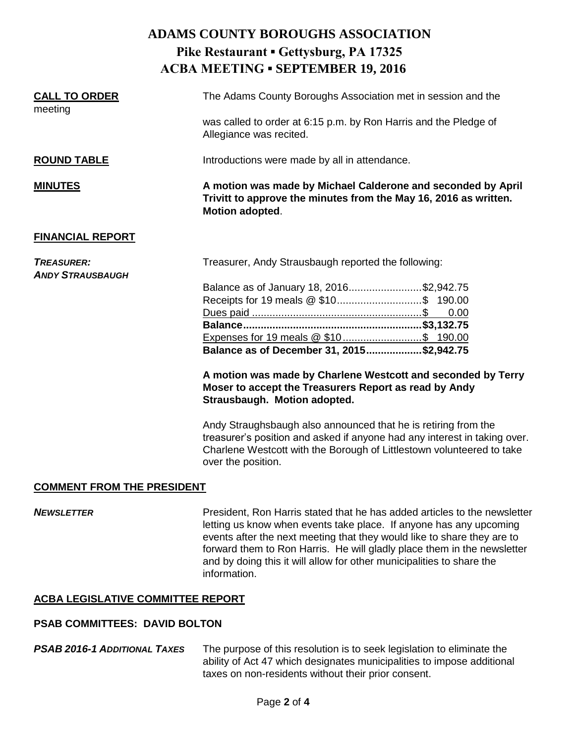# **ADAMS COUNTY BOROUGHS ASSOCIATION Pike Restaurant ▪ Gettysburg, PA 17325 ACBA MEETING ▪ SEPTEMBER 19, 2016 CALL TO ORDER** The Adams County Boroughs Association met in session and the meeting was called to order at 6:15 p.m. by Ron Harris and the Pledge of Allegiance was recited. **ROUND TABLE Introductions were made by all in attendance. MINUTES A motion was made by Michael Calderone and seconded by April Trivitt to approve the minutes from the May 16, 2016 as written. Motion adopted**. **FINANCIAL REPORT TREASURER:** Treasurer, Andy Strausbaugh reported the following: *ANDY STRAUSBAUGH* Balance as of January 18, 2016.........................\$2,942.75 Receipts for 19 meals @ \$10.............................\$ 190.00 Dues paid ..........................................................\$ 0.00 **Balance.............................................................\$3,132.75** Expenses for 19 meals @ \$10...........................\$ 190.00 **Balance as of December 31, 2015...................\$2,942.75 A motion was made by Charlene Westcott and seconded by Terry**

**Moser to accept the Treasurers Report as read by Andy Strausbaugh. Motion adopted.**

Andy Straughsbaugh also announced that he is retiring from the treasurer's position and asked if anyone had any interest in taking over. Charlene Westcott with the Borough of Littlestown volunteered to take over the position.

### **COMMENT FROM THE PRESIDENT**

**NEWSLETTER** President, Ron Harris stated that he has added articles to the newsletter letting us know when events take place. If anyone has any upcoming events after the next meeting that they would like to share they are to forward them to Ron Harris. He will gladly place them in the newsletter and by doing this it will allow for other municipalities to share the information.

### **ACBA LEGISLATIVE COMMITTEE REPORT**

### **PSAB COMMITTEES: DAVID BOLTON**

*PSAB 2016-1 ADDITIONAL TAXES* The purpose of this resolution is to seek legislation to eliminate the ability of Act 47 which designates municipalities to impose additional taxes on non-residents without their prior consent.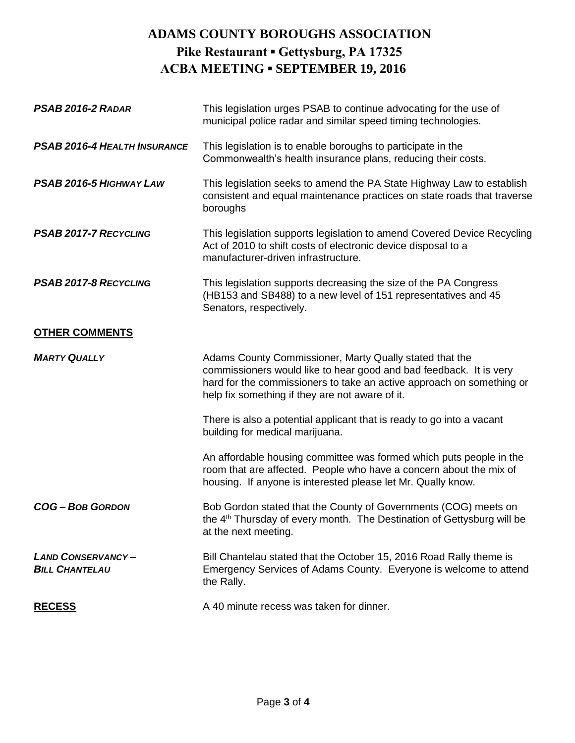# **ADAMS COUNTY BOROUGHS ASSOCIATION Pike Restaurant ▪ Gettysburg, PA 17325 ACBA MEETING ▪ SEPTEMBER 19, 2016**

| PSAB 2016-2 RADAR                                 | This legislation urges PSAB to continue advocating for the use of<br>municipal police radar and similar speed timing technologies.                                                                                                                        |
|---------------------------------------------------|-----------------------------------------------------------------------------------------------------------------------------------------------------------------------------------------------------------------------------------------------------------|
| <b>PSAB 2016-4 HEALTH INSURANCE</b>               | This legislation is to enable boroughs to participate in the<br>Commonwealth's health insurance plans, reducing their costs.                                                                                                                              |
| PSAB 2016-5 HIGHWAY LAW                           | This legislation seeks to amend the PA State Highway Law to establish<br>consistent and equal maintenance practices on state roads that traverse<br>boroughs                                                                                              |
| <b>PSAB 2017-7 RECYCLING</b>                      | This legislation supports legislation to amend Covered Device Recycling<br>Act of 2010 to shift costs of electronic device disposal to a<br>manufacturer-driven infrastructure.                                                                           |
| PSAB 2017-8 RECYCLING                             | This legislation supports decreasing the size of the PA Congress<br>(HB153 and SB488) to a new level of 151 representatives and 45<br>Senators, respectively.                                                                                             |
| <b>OTHER COMMENTS</b>                             |                                                                                                                                                                                                                                                           |
| <b>MARTY QUALLY</b>                               | Adams County Commissioner, Marty Qually stated that the<br>commissioners would like to hear good and bad feedback. It is very<br>hard for the commissioners to take an active approach on something or<br>help fix something if they are not aware of it. |
|                                                   | There is also a potential applicant that is ready to go into a vacant<br>building for medical marijuana.                                                                                                                                                  |
|                                                   | An affordable housing committee was formed which puts people in the<br>room that are affected. People who have a concern about the mix of<br>housing. If anyone is interested please let Mr. Qually know.                                                 |
| <b>COG-BOB GORDON</b>                             | Bob Gordon stated that the County of Governments (COG) meets on<br>the 4 <sup>th</sup> Thursday of every month. The Destination of Gettysburg will be<br>at the next meeting.                                                                             |
| <b>LAND CONSERVANCY-</b><br><b>BILL CHANTELAU</b> | Bill Chantelau stated that the October 15, 2016 Road Rally theme is<br>Emergency Services of Adams County. Everyone is welcome to attend<br>the Rally.                                                                                                    |
| <b>RECESS</b>                                     | A 40 minute recess was taken for dinner.                                                                                                                                                                                                                  |